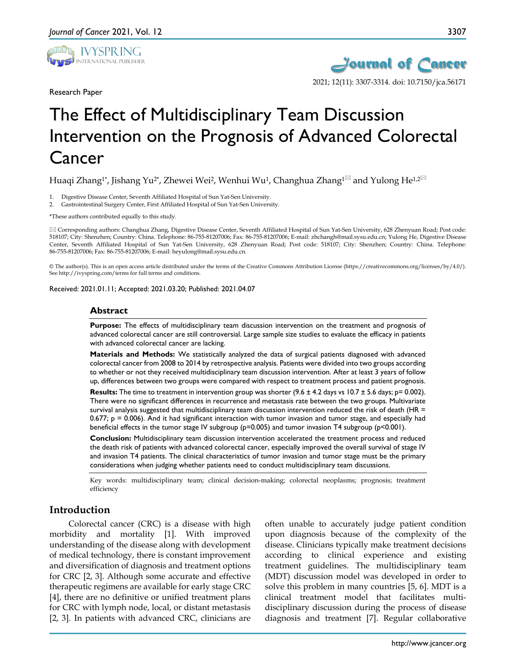

Research Paper



# The Effect of Multidisciplinary Team Discussion Intervention on the Prognosis of Advanced Colorectal Cancer

Huaqi Zhang<sup>1\*</sup>, Jishang Yu<sup>2\*</sup>, Zhewei Wei<sup>2</sup>, Wenhui Wu<sup>1</sup>, Changhua Zhang<sup>1 $\boxtimes$ </sup> and Yulong He<sup>1,2 $\boxtimes$ </sup>

- 1. Digestive Disease Center, Seventh Affiliated Hospital of Sun Yat-Sen University.
- 2. Gastrointestinal Surgery Center, First Affiliated Hospital of Sun Yat-Sen University.

\*These authors contributed equally to this study.

 Corresponding authors: Changhua Zhang, Digestive Disease Center, Seventh Affiliated Hospital of Sun Yat-Sen University, 628 Zhenyuan Road; Post code: 518107; City: Shenzhen; Country: China. Telephone: 86-755-81207006; Fax: 86-755-81207006; E-mail: zhchangh@mail.sysu.edu.cn; Yulong He, Digestive Disease Center, Seventh Affiliated Hospital of Sun Yat-Sen University, 628 Zhenyuan Road; Post code: 518107; City: Shenzhen; Country: China. Telephone: 86-755-81207006; Fax: 86-755-81207006; E-mail: heyulong@mail.sysu.edu.cn.

© The author(s). This is an open access article distributed under the terms of the Creative Commons Attribution License (https://creativecommons.org/licenses/by/4.0/). See http://ivyspring.com/terms for full terms and conditions.

Received: 2021.01.11; Accepted: 2021.03.20; Published: 2021.04.07

### **Abstract**

**Purpose:** The effects of multidisciplinary team discussion intervention on the treatment and prognosis of advanced colorectal cancer are still controversial. Large sample size studies to evaluate the efficacy in patients with advanced colorectal cancer are lacking.

**Materials and Methods:** We statistically analyzed the data of surgical patients diagnosed with advanced colorectal cancer from 2008 to 2014 by retrospective analysis. Patients were divided into two groups according to whether or not they received multidisciplinary team discussion intervention. After at least 3 years of follow up, differences between two groups were compared with respect to treatment process and patient prognosis.

**Results:** The time to treatment in intervention group was shorter  $(9.6 \pm 4.2 \text{ days vs } 10.7 \pm 5.6 \text{ days}; p = 0.002)$ . There were no significant differences in recurrence and metastasis rate between the two groups. Multivariate survival analysis suggested that multidisciplinary team discussion intervention reduced the risk of death (HR = 0.677; p = 0.006). And it had significant interaction with tumor invasion and tumor stage, and especially had beneficial effects in the tumor stage IV subgroup (p=0.005) and tumor invasion T4 subgroup (p<0.001).

**Conclusion:** Multidisciplinary team discussion intervention accelerated the treatment process and reduced the death risk of patients with advanced colorectal cancer, especially improved the overall survival of stage IV and invasion T4 patients. The clinical characteristics of tumor invasion and tumor stage must be the primary considerations when judging whether patients need to conduct multidisciplinary team discussions.

Key words: multidisciplinary team; clinical decision-making; colorectal neoplasms; prognosis; treatment efficiency

## **Introduction**

Colorectal cancer (CRC) is a disease with high morbidity and mortality [1]. With improved understanding of the disease along with development of medical technology, there is constant improvement and diversification of diagnosis and treatment options for CRC [2, 3]. Although some accurate and effective therapeutic regimens are available for early stage CRC [4], there are no definitive or unified treatment plans for CRC with lymph node, local, or distant metastasis [2, 3]. In patients with advanced CRC, clinicians are

often unable to accurately judge patient condition upon diagnosis because of the complexity of the disease. Clinicians typically make treatment decisions according to clinical experience and existing treatment guidelines. The multidisciplinary team (MDT) discussion model was developed in order to solve this problem in many countries [5, 6]. MDT is a clinical treatment model that facilitates multidisciplinary discussion during the process of disease diagnosis and treatment [7]. Regular collaborative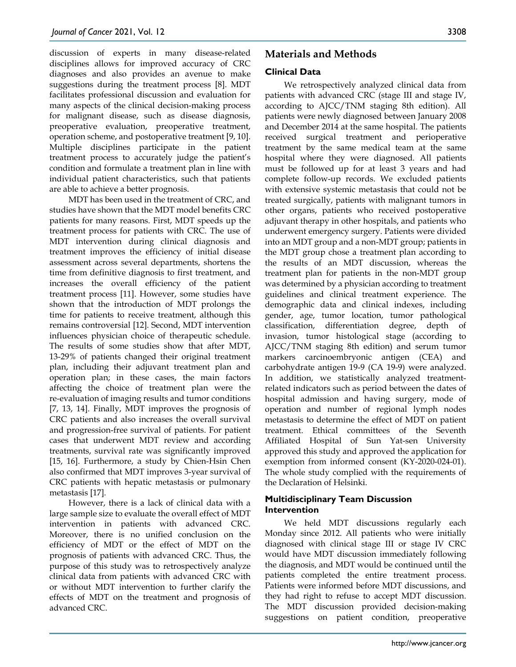discussion of experts in many disease-related disciplines allows for improved accuracy of CRC diagnoses and also provides an avenue to make suggestions during the treatment process [8]. MDT facilitates professional discussion and evaluation for many aspects of the clinical decision-making process for malignant disease, such as disease diagnosis, preoperative evaluation, preoperative treatment, operation scheme, and postoperative treatment [9, 10]. Multiple disciplines participate in the patient treatment process to accurately judge the patient's condition and formulate a treatment plan in line with individual patient characteristics, such that patients are able to achieve a better prognosis.

MDT has been used in the treatment of CRC, and studies have shown that the MDT model benefits CRC patients for many reasons. First, MDT speeds up the treatment process for patients with CRC. The use of MDT intervention during clinical diagnosis and treatment improves the efficiency of initial disease assessment across several departments, shortens the time from definitive diagnosis to first treatment, and increases the overall efficiency of the patient treatment process [11]. However, some studies have shown that the introduction of MDT prolongs the time for patients to receive treatment, although this remains controversial [12]. Second, MDT intervention influences physician choice of therapeutic schedule. The results of some studies show that after MDT, 13-29% of patients changed their original treatment plan, including their adjuvant treatment plan and operation plan; in these cases, the main factors affecting the choice of treatment plan were the re-evaluation of imaging results and tumor conditions [7, 13, 14]. Finally, MDT improves the prognosis of CRC patients and also increases the overall survival and progression-free survival of patients. For patient cases that underwent MDT review and according treatments, survival rate was significantly improved [15, 16]. Furthermore, a study by Chien-Hsin Chen also confirmed that MDT improves 3-year survival of CRC patients with hepatic metastasis or pulmonary metastasis [17].

However, there is a lack of clinical data with a large sample size to evaluate the overall effect of MDT intervention in patients with advanced CRC. Moreover, there is no unified conclusion on the efficiency of MDT or the effect of MDT on the prognosis of patients with advanced CRC. Thus, the purpose of this study was to retrospectively analyze clinical data from patients with advanced CRC with or without MDT intervention to further clarify the effects of MDT on the treatment and prognosis of advanced CRC.

# **Materials and Methods**

## **Clinical Data**

We retrospectively analyzed clinical data from patients with advanced CRC (stage III and stage IV, according to AJCC/TNM staging 8th edition). All patients were newly diagnosed between January 2008 and December 2014 at the same hospital. The patients received surgical treatment and perioperative treatment by the same medical team at the same hospital where they were diagnosed. All patients must be followed up for at least 3 years and had complete follow-up records. We excluded patients with extensive systemic metastasis that could not be treated surgically, patients with malignant tumors in other organs, patients who received postoperative adjuvant therapy in other hospitals, and patients who underwent emergency surgery. Patients were divided into an MDT group and a non-MDT group; patients in the MDT group chose a treatment plan according to the results of an MDT discussion, whereas the treatment plan for patients in the non-MDT group was determined by a physician according to treatment guidelines and clinical treatment experience. The demographic data and clinical indexes, including gender, age, tumor location, tumor pathological classification, differentiation degree, depth of invasion, tumor histological stage (according to AJCC/TNM staging 8th edition) and serum tumor markers carcinoembryonic antigen (CEA) and carbohydrate antigen 19-9 (CA 19-9) were analyzed. In addition, we statistically analyzed treatmentrelated indicators such as period between the dates of hospital admission and having surgery, mode of operation and number of regional lymph nodes metastasis to determine the effect of MDT on patient treatment. Ethical committees of the Seventh Affiliated Hospital of Sun Yat-sen University approved this study and approved the application for exemption from informed consent (KY-2020-024-01). The whole study complied with the requirements of the Declaration of Helsinki.

## **Multidisciplinary Team Discussion Intervention**

We held MDT discussions regularly each Monday since 2012. All patients who were initially diagnosed with clinical stage III or stage IV CRC would have MDT discussion immediately following the diagnosis, and MDT would be continued until the patients completed the entire treatment process. Patients were informed before MDT discussions, and they had right to refuse to accept MDT discussion. The MDT discussion provided decision-making suggestions on patient condition, preoperative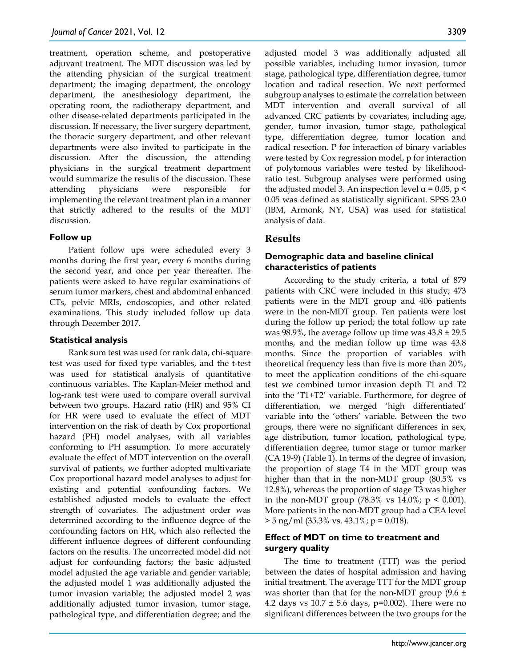treatment, operation scheme, and postoperative adjuvant treatment. The MDT discussion was led by the attending physician of the surgical treatment department; the imaging department, the oncology department, the anesthesiology department, the operating room, the radiotherapy department, and other disease-related departments participated in the discussion. If necessary, the liver surgery department, the thoracic surgery department, and other relevant departments were also invited to participate in the discussion. After the discussion, the attending physicians in the surgical treatment department would summarize the results of the discussion. These attending physicians were responsible for implementing the relevant treatment plan in a manner that strictly adhered to the results of the MDT discussion.

### **Follow up**

Patient follow ups were scheduled every 3 months during the first year, every 6 months during the second year, and once per year thereafter. The patients were asked to have regular examinations of serum tumor markers, chest and abdominal enhanced CTs, pelvic MRIs, endoscopies, and other related examinations. This study included follow up data through December 2017.

### **Statistical analysis**

Rank sum test was used for rank data, chi-square test was used for fixed type variables, and the t-test was used for statistical analysis of quantitative continuous variables. The Kaplan-Meier method and log-rank test were used to compare overall survival between two groups. Hazard ratio (HR) and 95% CI for HR were used to evaluate the effect of MDT intervention on the risk of death by Cox proportional hazard (PH) model analyses, with all variables conforming to PH assumption. To more accurately evaluate the effect of MDT intervention on the overall survival of patients, we further adopted multivariate Cox proportional hazard model analyses to adjust for existing and potential confounding factors. We established adjusted models to evaluate the effect strength of covariates. The adjustment order was determined according to the influence degree of the confounding factors on HR, which also reflected the different influence degrees of different confounding factors on the results. The uncorrected model did not adjust for confounding factors; the basic adjusted model adjusted the age variable and gender variable; the adjusted model 1 was additionally adjusted the tumor invasion variable; the adjusted model 2 was additionally adjusted tumor invasion, tumor stage, pathological type, and differentiation degree; and the

adjusted model 3 was additionally adjusted all possible variables, including tumor invasion, tumor stage, pathological type, differentiation degree, tumor location and radical resection. We next performed subgroup analyses to estimate the correlation between MDT intervention and overall survival of all advanced CRC patients by covariates, including age, gender, tumor invasion, tumor stage, pathological type, differentiation degree, tumor location and radical resection. P for interaction of binary variables were tested by Cox regression model, p for interaction of polytomous variables were tested by likelihoodratio test. Subgroup analyses were performed using the adjusted model 3. An inspection level  $\alpha$  = 0.05, p < 0.05 was defined as statistically significant. SPSS 23.0 (IBM, Armonk, NY, USA) was used for statistical analysis of data.

# **Results**

## **Demographic data and baseline clinical characteristics of patients**

According to the study criteria, a total of 879 patients with CRC were included in this study; 473 patients were in the MDT group and 406 patients were in the non-MDT group. Ten patients were lost during the follow up period; the total follow up rate was 98.9%, the average follow up time was  $43.8 \pm 29.5$ months, and the median follow up time was 43.8 months. Since the proportion of variables with theoretical frequency less than five is more than 20%, to meet the application conditions of the chi-square test we combined tumor invasion depth T1 and T2 into the 'T1+T2' variable. Furthermore, for degree of differentiation, we merged 'high differentiated' variable into the 'others' variable. Between the two groups, there were no significant differences in sex, age distribution, tumor location, pathological type, differentiation degree, tumor stage or tumor marker (CA 19-9) (Table 1). In terms of the degree of invasion, the proportion of stage T4 in the MDT group was higher than that in the non-MDT group (80.5% vs 12.8%), whereas the proportion of stage T3 was higher in the non-MDT group  $(78.3\% \text{ vs } 14.0\% \text{; } p \le 0.001)$ . More patients in the non-MDT group had a CEA level  $> 5$  ng/ml (35.3% vs. 43.1%; p = 0.018).

# **Effect of MDT on time to treatment and surgery quality**

The time to treatment (TTT) was the period between the dates of hospital admission and having initial treatment. The average TTT for the MDT group was shorter than that for the non-MDT group  $(9.6 \pm 1)$ 4.2 days vs  $10.7 \pm 5.6$  days, p=0.002). There were no significant differences between the two groups for the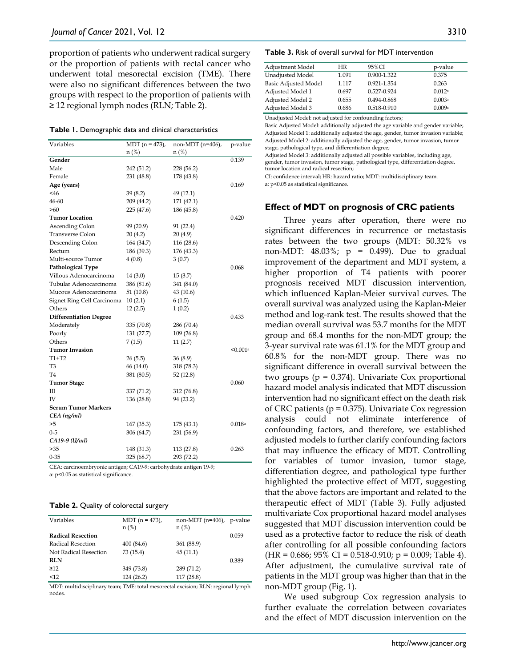proportion of patients who underwent radical surgery or the proportion of patients with rectal cancer who underwent total mesorectal excision (TME). There were also no significant differences between the two groups with respect to the proportion of patients with ≥ 12 regional lymph nodes (RLN; Table 2).

| Variables                     | MDT $(n = 473)$ , | non-MDT $(n=406)$ , | p-value                |
|-------------------------------|-------------------|---------------------|------------------------|
|                               | $n$ (%)           | $n$ (%)             |                        |
| Gender                        |                   |                     | 0.139                  |
| Male                          | 242 (51.2)        | 228 (56.2)          |                        |
| Female                        | 231 (48.8)        | 178 (43.8)          |                        |
| Age (years)                   |                   |                     | 0.169                  |
| $<$ 46                        | 39(8.2)           | 49 (12.1)           |                        |
| 46-60                         | 209 (44.2)        | 171 (42.1)          |                        |
| >60                           | 225(47.6)         | 186 (45.8)          |                        |
| <b>Tumor Location</b>         |                   |                     | 0.420                  |
| Ascending Colon               | 99 (20.9)         | 91 (22.4)           |                        |
| <b>Transverse Colon</b>       | 20(4.2)           | 20(4.9)             |                        |
| Descending Colon              | 164 (34.7)        | 116 (28.6)          |                        |
| Rectum                        | 186 (39.3)        | 176 (43.3)          |                        |
| Multi-source Tumor            | 4(0.8)            | 3(0.7)              |                        |
| Pathological Type             |                   |                     | 0.068                  |
| Villous Adenocarcinoma        | 14(3.0)           | 15(3.7)             |                        |
| Tubular Adenocarcinoma        | 386 (81.6)        | 341 (84.0)          |                        |
| Mucous Adenocarcinoma         | 51(10.8)          | 43 (10.6)           |                        |
| Signet Ring Cell Carcinoma    | 10(2.1)           | 6(1.5)              |                        |
| Others                        | 12(2.5)           | 1(0.2)              |                        |
| <b>Differentiation Degree</b> |                   |                     | 0.433                  |
| Moderately                    | 335(70.8)         | 286 (70.4)          |                        |
| Poorly                        | 131 (27.7)        | 109 (26.8)          |                        |
| Others                        | 7(1.5)            | 11(2.7)             |                        |
| <b>Tumor Invasion</b>         |                   |                     | $< 0.001$ <sup>a</sup> |
| $T1+T2$                       | 26(5.5)           | 36(8.9)             |                        |
| T <sub>3</sub>                | 66 (14.0)         | 318 (78.3)          |                        |
| T <sub>4</sub>                | 381 (80.5)        | 52(12.8)            |                        |
| <b>Tumor Stage</b>            |                   |                     | 0.060                  |
| Ш                             | 337 (71.2)        | 312 (76.8)          |                        |
| IV                            | 136 (28.8)        | 94 (23.2)           |                        |
| <b>Serum Tumor Markers</b>    |                   |                     |                        |
| $CEA$ ( $ng/ml$ )             |                   |                     |                        |
| >5                            | 167(35.3)         | 175 (43.1)          | 0.018a                 |
| $0 - 5$                       | 306 (64.7)        | 231 (56.9)          |                        |
| CA19-9 (U/ml)                 |                   |                     |                        |
| >35                           | 148 (31.3)        | 113 (27.8)          | 0.263                  |
| $0 - 35$                      | 325(68.7)         | 293 (72.2)          |                        |

CEA: carcinoembryonic antigen; CA19-9: carbohydrate antigen 19-9;

a: p<0.05 as statistical significance.

|  |  | Table 2. Quality of colorectal surgery |  |
|--|--|----------------------------------------|--|
|--|--|----------------------------------------|--|

| Variables                | MDT $(n = 473)$ , | non-MDT (n=406), p-value |       |
|--------------------------|-------------------|--------------------------|-------|
|                          | $n$ (%)           | $n$ (%)                  |       |
| <b>Radical Resection</b> |                   |                          | 0.059 |
| Radical Resection        | 400(84.6)         | 361 (88.9)               |       |
| Not Radical Resection    | 73 (15.4)         | 45(11.1)                 |       |
| <b>RLN</b>               |                   |                          | 0.389 |
| $\geq$ 12                | 349 (73.8)        | 289 (71.2)               |       |
| <12                      | 124(26.2)         | 117(28.8)                |       |

MDT: multidisciplinary team; TME: total mesorectal excision; RLN: regional lymph nodes.

#### **Table 3.** Risk of overall survival for MDT intervention

| Adjustment Model            | HR    | 95%CI       | p-value |
|-----------------------------|-------|-------------|---------|
| Unadjusted Model            | 1.091 | 0.900-1.322 | 0.375   |
| <b>Basic Adjusted Model</b> | 1.117 | 0.921-1.354 | 0.263   |
| Adjusted Model 1            | 0.697 | 0.527-0.924 | 0.012a  |
| Adjusted Model 2            | 0.655 | 0.494-0.868 | 0.003a  |
| Adjusted Model 3            | 0.686 | 0.518-0.910 | 0.009a  |

Unadjusted Model: not adjusted for confounding factors;

Basic Adjusted Model: additionally adjusted the age variable and gender variable; Adjusted Model 1: additionally adjusted the age, gender, tumor invasion variable; Adjusted Model 2: additionally adjusted the age, gender, tumor invasion, tumor stage, pathological type, and differentiation degree;

Adjusted Model 3: additionally adjusted all possible variables, including age, gender, tumor invasion, tumor stage, pathological type, differentiation degree, tumor location and radical resection;

CI: confidence interval; HR: hazard ratio; MDT: multidisciplinary team.

a: p<0.05 as statistical significance.

### **Effect of MDT on prognosis of CRC patients**

Three years after operation, there were no significant differences in recurrence or metastasis rates between the two groups (MDT: 50.32% vs non-MDT:  $48.03\%$ ;  $p = 0.499$ ). Due to gradual improvement of the department and MDT system, a higher proportion of T4 patients with poorer prognosis received MDT discussion intervention, which influenced Kaplan-Meier survival curves. The overall survival was analyzed using the Kaplan-Meier method and log-rank test. The results showed that the median overall survival was 53.7 months for the MDT group and 68.4 months for the non-MDT group; the 3-year survival rate was 61.1% for the MDT group and 60.8% for the non-MDT group. There was no significant difference in overall survival between the two groups (p = 0.374). Univariate Cox proportional hazard model analysis indicated that MDT discussion intervention had no significant effect on the death risk of CRC patients ( $p = 0.375$ ). Univariate Cox regression analysis could not eliminate interference of confounding factors, and therefore, we established adjusted models to further clarify confounding factors that may influence the efficacy of MDT. Controlling for variables of tumor invasion, tumor stage, differentiation degree, and pathological type further highlighted the protective effect of MDT, suggesting that the above factors are important and related to the therapeutic effect of MDT (Table 3). Fully adjusted multivariate Cox proportional hazard model analyses suggested that MDT discussion intervention could be used as a protective factor to reduce the risk of death after controlling for all possible confounding factors  $(HR = 0.686; 95\% CI = 0.518-0.910; p = 0.009; Table 4).$ After adjustment, the cumulative survival rate of patients in the MDT group was higher than that in the non-MDT group (Fig. 1).

We used subgroup Cox regression analysis to further evaluate the correlation between covariates and the effect of MDT discussion intervention on the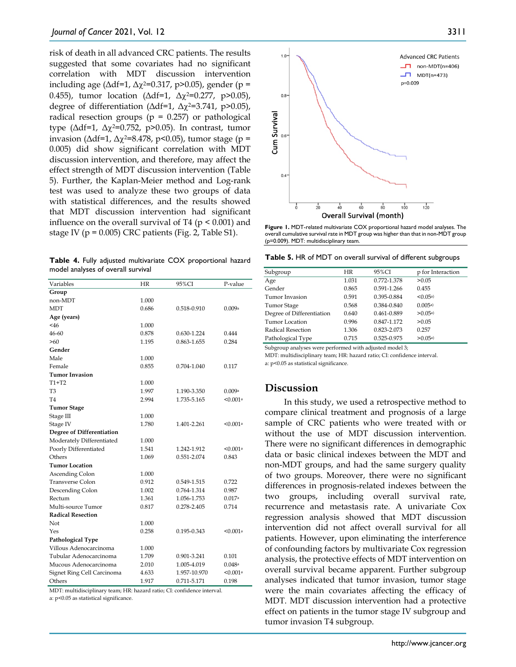risk of death in all advanced CRC patients. The results suggested that some covariates had no significant correlation with MDT discussion intervention including age ( $\Delta df=1$ ,  $\Delta \chi^2=0.317$ , p>0.05), gender (p = 0.455), tumor location ( $Δdf=1$ ,  $Δχ²=0.277$ , p>0.05), degree of differentiation ( $Δdf=1$ ,  $Δχ²=3.741$ , p>0.05), radical resection groups ( $p = 0.257$ ) or pathological type (Δdf=1, Δχ2=0.752, p>0.05). In contrast, tumor invasion ( $\Delta$ df=1,  $\Delta$ χ<sup>2</sup>=8.478, p<0.05), tumor stage (p = 0.005) did show significant correlation with MDT discussion intervention, and therefore, may affect the effect strength of MDT discussion intervention (Table 5). Further, the Kaplan-Meier method and Log-rank test was used to analyze these two groups of data with statistical differences, and the results showed that MDT discussion intervention had significant influence on the overall survival of T4 ( $p < 0.001$ ) and stage IV ( $p = 0.005$ ) CRC patients (Fig. 2, Table S1).

**Table 4.** Fully adjusted multivariate COX proportional hazard model analyses of overall survival

| Variables                  | HR    | 95%CI        | P-value  |
|----------------------------|-------|--------------|----------|
| Group                      |       |              |          |
| non-MDT                    | 1.000 |              |          |
| <b>MDT</b>                 | 0.686 | 0.518-0.910  | 0.009a   |
| Age (years)                |       |              |          |
| <46                        | 1.000 |              |          |
| 46-60                      | 0.878 | 0.630-1.224  | 0.444    |
| >60                        | 1.195 | 0.863-1.655  | 0.284    |
| Gender                     |       |              |          |
| Male                       | 1.000 |              |          |
| Female                     | 0.855 | 0.704-1.040  | 0.117    |
| <b>Tumor Invasion</b>      |       |              |          |
| $T1+T2$                    | 1.000 |              |          |
| T3                         | 1.997 | 1.190-3.350  | 0.009a   |
| T4                         | 2.994 | 1.735-5.165  | < 0.001a |
| <b>Tumor Stage</b>         |       |              |          |
| Stage III                  | 1.000 |              |          |
| Stage IV                   | 1.780 | 1.401-2.261  | < 0.001a |
| Degree of Differentiation  |       |              |          |
| Moderately Differentiated  | 1.000 |              |          |
| Poorly Differentiated      | 1.541 | 1.242-1.912  | < 0.001a |
| Others                     | 1.069 | 0.551-2.074  | 0.843    |
| <b>Tumor Location</b>      |       |              |          |
| Ascending Colon            | 1.000 |              |          |
| <b>Transverse Colon</b>    | 0.912 | 0.549-1.515  | 0.722    |
| Descending Colon           | 1.002 | 0.764-1.314  | 0.987    |
| Rectum                     | 1.361 | 1.056-1.753  | 0.017a   |
| Multi-source Tumor         | 0.817 | 0.278-2.405  | 0.714    |
| <b>Radical Resection</b>   |       |              |          |
| Not                        | 1.000 |              |          |
| Yes                        | 0.258 | 0.195-0.343  | < 0.001a |
| Pathological Type          |       |              |          |
| Villous Adenocarcinoma     | 1.000 |              |          |
| Tubular Adenocarcinoma     | 1.709 | 0.901-3.241  | 0.101    |
| Mucous Adenocarcinoma      | 2.010 | 1.005-4.019  | 0.048a   |
| Signet Ring Cell Carcinoma | 4.633 | 1.957-10.970 | < 0.001a |
| Others                     | 1.917 | 0.711-5.171  | 0.198    |

MDT: multidisciplinary team; HR: hazard ratio; CI: confidence interval. a: p<0.05 as statistical significance.



**Figure 1.** MDT-related multivariate COX proportional hazard model analyses. The overall cumulative survival rate in MDT group was higher than that in non-MDT group (p=0.009). MDT: multidisciplinary team.

**Table 5.** HR of MDT on overall survival of different subgroups

| HR    | 95%CI       | p for Interaction |
|-------|-------------|-------------------|
| 1.031 | 0.772-1.378 | > 0.05            |
| 0.865 | 0.591-1.266 | 0.455             |
| 0.591 | 0.395-0.884 | < 0.05a           |
| 0.568 | 0.384-0.840 | 0.005a            |
| 0.640 | 0.461-0.889 | > 0.05a           |
| 0.996 | 0.847-1.172 | >0.05             |
| 1.306 | 0.823-2.073 | 0.257             |
| 0.715 | 0.525-0.975 | >0.05a            |
|       |             |                   |

Subgroup analyses were performed with adjusted model 3;

MDT: multidisciplinary team; HR: hazard ratio; CI: confidence interval.

a: p<0.05 as statistical significance.

### **Discussion**

In this study, we used a retrospective method to compare clinical treatment and prognosis of a large sample of CRC patients who were treated with or without the use of MDT discussion intervention. There were no significant differences in demographic data or basic clinical indexes between the MDT and non-MDT groups, and had the same surgery quality of two groups. Moreover, there were no significant differences in prognosis-related indexes between the two groups, including overall survival rate, recurrence and metastasis rate. A univariate Cox regression analysis showed that MDT discussion intervention did not affect overall survival for all patients. However, upon eliminating the interference of confounding factors by multivariate Cox regression analysis, the protective effects of MDT intervention on overall survival became apparent. Further subgroup analyses indicated that tumor invasion, tumor stage were the main covariates affecting the efficacy of MDT. MDT discussion intervention had a protective effect on patients in the tumor stage IV subgroup and tumor invasion T4 subgroup.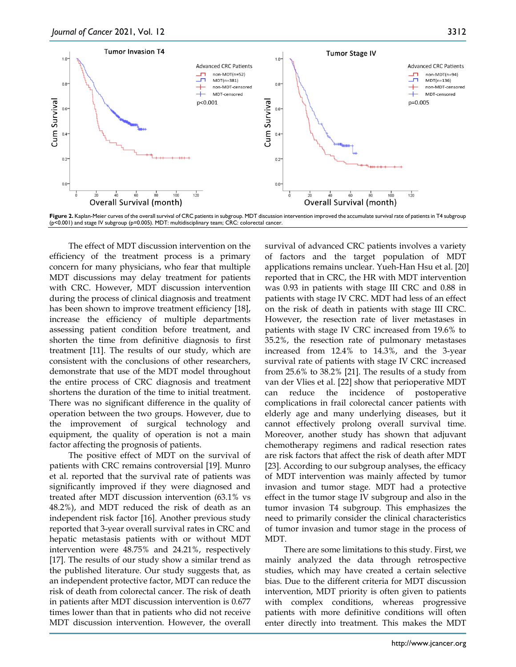

(p<0.001) and stage IV subgroup (p=0.005). MDT: multidisciplinary team; CRC: colorectal cancer.

The effect of MDT discussion intervention on the efficiency of the treatment process is a primary concern for many physicians, who fear that multiple MDT discussions may delay treatment for patients with CRC. However, MDT discussion intervention during the process of clinical diagnosis and treatment has been shown to improve treatment efficiency [18], increase the efficiency of multiple departments assessing patient condition before treatment, and shorten the time from definitive diagnosis to first treatment [11]. The results of our study, which are consistent with the conclusions of other researchers, demonstrate that use of the MDT model throughout the entire process of CRC diagnosis and treatment shortens the duration of the time to initial treatment. There was no significant difference in the quality of operation between the two groups. However, due to the improvement of surgical technology and equipment, the quality of operation is not a main factor affecting the prognosis of patients.

The positive effect of MDT on the survival of patients with CRC remains controversial [19]. Munro et al. reported that the survival rate of patients was significantly improved if they were diagnosed and treated after MDT discussion intervention (63.1% vs 48.2%), and MDT reduced the risk of death as an independent risk factor [16]. Another previous study reported that 3-year overall survival rates in CRC and hepatic metastasis patients with or without MDT intervention were 48.75% and 24.21%, respectively [17]. The results of our study show a similar trend as the published literature. Our study suggests that, as an independent protective factor, MDT can reduce the risk of death from colorectal cancer. The risk of death in patients after MDT discussion intervention is 0.677 times lower than that in patients who did not receive MDT discussion intervention. However, the overall

survival of advanced CRC patients involves a variety of factors and the target population of MDT applications remains unclear. Yueh-Han Hsu et al. [20] reported that in CRC, the HR with MDT intervention was 0.93 in patients with stage III CRC and 0.88 in patients with stage IV CRC. MDT had less of an effect on the risk of death in patients with stage III CRC. However, the resection rate of liver metastases in patients with stage IV CRC increased from 19.6% to 35.2%, the resection rate of pulmonary metastases increased from 12.4% to 14.3%, and the 3-year survival rate of patients with stage IV CRC increased from 25.6% to 38.2% [21]. The results of a study from van der Vlies et al. [22] show that perioperative MDT can reduce the incidence of postoperative complications in frail colorectal cancer patients with elderly age and many underlying diseases, but it cannot effectively prolong overall survival time. Moreover, another study has shown that adjuvant chemotherapy regimens and radical resection rates are risk factors that affect the risk of death after MDT [23]. According to our subgroup analyses, the efficacy of MDT intervention was mainly affected by tumor invasion and tumor stage. MDT had a protective effect in the tumor stage IV subgroup and also in the tumor invasion T4 subgroup. This emphasizes the need to primarily consider the clinical characteristics of tumor invasion and tumor stage in the process of MDT.

There are some limitations to this study. First, we mainly analyzed the data through retrospective studies, which may have created a certain selective bias. Due to the different criteria for MDT discussion intervention, MDT priority is often given to patients with complex conditions, whereas progressive patients with more definitive conditions will often enter directly into treatment. This makes the MDT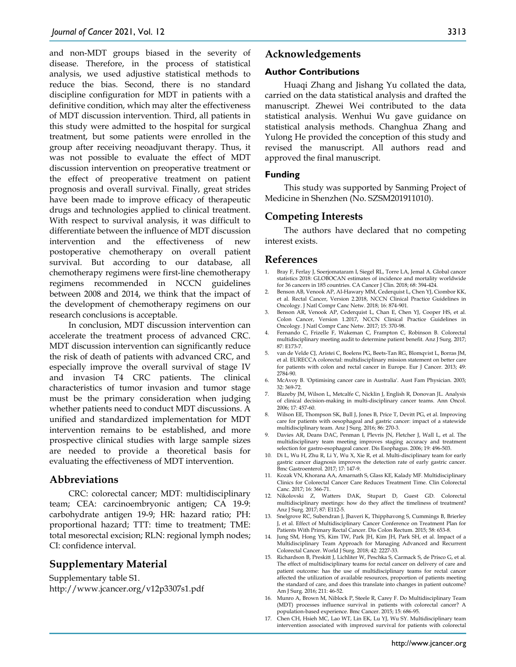and non-MDT groups biased in the severity of disease. Therefore, in the process of statistical analysis, we used adjustive statistical methods to reduce the bias. Second, there is no standard discipline configuration for MDT in patients with a definitive condition, which may alter the effectiveness of MDT discussion intervention. Third, all patients in this study were admitted to the hospital for surgical treatment, but some patients were enrolled in the group after receiving neoadjuvant therapy. Thus, it was not possible to evaluate the effect of MDT discussion intervention on preoperative treatment or the effect of preoperative treatment on patient prognosis and overall survival. Finally, great strides have been made to improve efficacy of therapeutic drugs and technologies applied to clinical treatment. With respect to survival analysis, it was difficult to differentiate between the influence of MDT discussion intervention and the effectiveness of new postoperative chemotherapy on overall patient survival. But according to our database, all chemotherapy regimens were first-line chemotherapy regimens recommended in NCCN guidelines between 2008 and 2014, we think that the impact of the development of chemotherapy regimens on our research conclusions is acceptable.

In conclusion, MDT discussion intervention can accelerate the treatment process of advanced CRC. MDT discussion intervention can significantly reduce the risk of death of patients with advanced CRC, and especially improve the overall survival of stage IV and invasion T4 CRC patients. The clinical characteristics of tumor invasion and tumor stage must be the primary consideration when judging whether patients need to conduct MDT discussions. A unified and standardized implementation for MDT intervention remains to be established, and more prospective clinical studies with large sample sizes are needed to provide a theoretical basis for evaluating the effectiveness of MDT intervention.

### **Abbreviations**

CRC: colorectal cancer; MDT: multidisciplinary team; CEA: carcinoembryonic antigen; CA 19-9: carbohydrate antigen 19-9; HR: hazard ratio; PH: proportional hazard; TTT: time to treatment; TME: total mesorectal excision; RLN: regional lymph nodes; CI: confidence interval.

## **Supplementary Material**

Supplementary table S1. http://www.jcancer.org/v12p3307s1.pdf

### **Acknowledgements**

### **Author Contributions**

Huaqi Zhang and Jishang Yu collated the data, carried on the data statistical analysis and drafted the manuscript. Zhewei Wei contributed to the data statistical analysis. Wenhui Wu gave guidance on statistical analysis methods. Changhua Zhang and Yulong He provided the conception of this study and revised the manuscript. All authors read and approved the final manuscript.

### **Funding**

This study was supported by Sanming Project of Medicine in Shenzhen (No. SZSM201911010).

### **Competing Interests**

The authors have declared that no competing interest exists.

### **References**

- 1. Bray F, Ferlay J, Soerjomataram I, Siegel RL, Torre LA, Jemal A. Global cancer statistics 2018: GLOBOCAN estimates of incidence and mortality worldwide for 36 cancers in 185 countries. CA Cancer J Clin. 2018; 68: 394-424.
- 2. Benson AB, Venook AP, Al-Hawary MM, Cederquist L, Chen YJ, Ciombor KK, et al. Rectal Cancer, Version 2.2018, NCCN Clinical Practice Guidelines in Oncology. J Natl Compr Canc Netw. 2018; 16: 874-901.
- 3. Benson AR, Venook AP, Cederquist L, Chan E, Chen YJ, Cooper HS, et al. Colon Cancer, Version 1.2017, NCCN Clinical Practice Guidelines in Oncology. J Natl Compr Canc Netw. 2017; 15: 370-98.
- 4. Fernando C, Frizelle F, Wakeman C, Frampton C, Robinson B. Colorectal multidisciplinary meeting audit to determine patient benefit. Anz J Surg. 2017; 87: E173-7.
- 5. van de Velde CJ, Aristei C, Boelens PG, Beets-Tan RG, Blomqvist L, Borras JM, et al. EURECCA colorectal: multidisciplinary mission statement on better care for patients with colon and rectal cancer in Europe. Eur J Cancer. 2013; 49: 2784-90.
- 6. McAvoy B. 'Optimising cancer care in Australia'. Aust Fam Physician. 2003; 32: 369-72.
- 7. Blazeby JM, Wilson L, Metcalfe C, Nicklin J, English R, Donovan JL. Analysis of clinical decision-making in multi-disciplinary cancer teams. Ann Oncol. 2006; 17: 457-60.
- 8. Wilson EE, Thompson SK, Bull J, Jones B, Price T, Devitt PG, et al. Improving care for patients with oesophageal and gastric cancer: impact of a statewide multidisciplinary team. Anz J Surg. 2016; 86: 270-3.
- 9. Davies AR, Deans DAC, Penman I, Plevris JN, Fletcher J, Wall L, et al. The multidisciplinary team meeting improves staging accuracy and treatment selection for gastro-esophageal cancer. Dis Esophagus. 2006; 19: 496-503.
- 10. Di L, Wu H, Zhu R, Li Y, Wu X, Xie R, et al. Multi-disciplinary team for early gastric cancer diagnosis improves the detection rate of early gastric cancer. Bmc Gastroenterol. 2017; 17: 147-9.
- 11. Kozak VN, Khorana AA, Amarnath S, Glass KE, Kalady MF. Multidisciplinary Clinics for Colorectal Cancer Care Reduces Treatment Time. Clin Colorectal Canc. 2017; 16: 366-71.
- 12. Nikolovski Z, Watters DAK, Stupart D, Guest GD. Colorectal multidisciplinary meetings: how do they affect the timeliness of treatment? Anz J Surg. 2017; 87: E112-5.
- 13. Snelgrove RC, Subendran J, Jhaveri K, Thipphavong S, Cummings B, Brierley J, et al. Effect of Multidisciplinary Cancer Conference on Treatment Plan for Patients With Primary Rectal Cancer. Dis Colon Rectum. 2015; 58: 653-8.
- 14. Jung SM, Hong YS, Kim TW, Park JH, Kim JH, Park SH, et al. Impact of a Multidisciplinary Team Approach for Managing Advanced and Recurrent Colorectal Cancer. World J Surg. 2018; 42: 2227-33.
- 15. Richardson B, Preskitt J, Lichliter W, Peschka S, Carmack S, de Prisco G, et al. The effect of multidisciplinary teams for rectal cancer on delivery of care and patient outcome: has the use of multidisciplinary teams for rectal cancer affected the utilization of available resources, proportion of patients meeting the standard of care, and does this translate into changes in patient outcome? Am J Surg. 2016; 211: 46-52.
- 16. Munro A, Brown M, Niblock P, Steele R, Carey F. Do Multidisciplinary Team (MDT) processes influence survival in patients with colorectal cancer? A population-based experience. Bmc Cancer. 2015; 15: 686-95.
- 17. Chen CH, Hsieh MC, Lao WT, Lin EK, Lu YJ, Wu SY. Multidisciplinary team intervention associated with improved survival for patients with colorectal